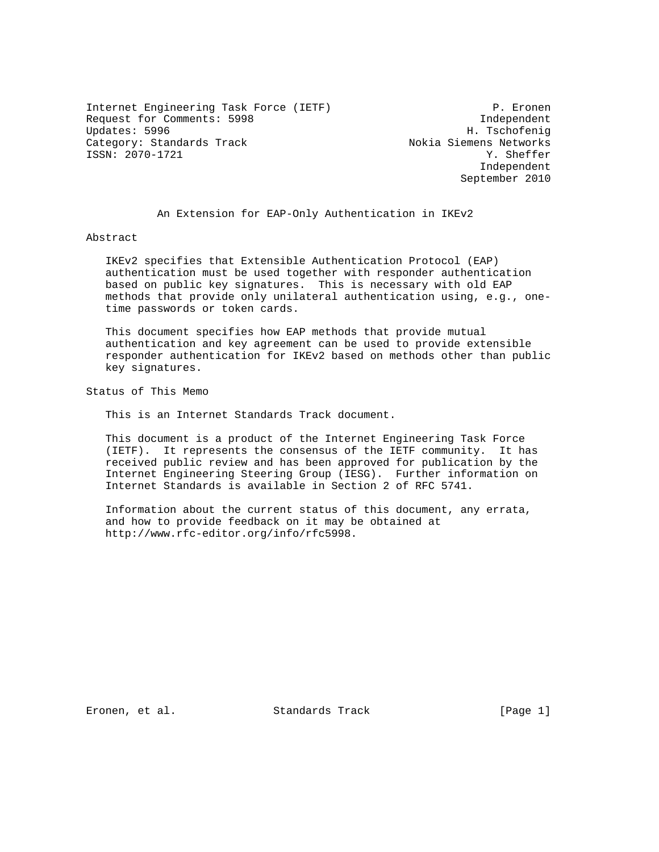Internet Engineering Task Force (IETF) P. Eronen Request for Comments: 5998 Independent Category: Standards Track Nokia Siemens Networks<br>
ISSN: 2070-1721 7. ISSN: 2070-1721

H. Tschofenig Independent September 2010

An Extension for EAP-Only Authentication in IKEv2

Abstract

 IKEv2 specifies that Extensible Authentication Protocol (EAP) authentication must be used together with responder authentication based on public key signatures. This is necessary with old EAP methods that provide only unilateral authentication using, e.g., one time passwords or token cards.

 This document specifies how EAP methods that provide mutual authentication and key agreement can be used to provide extensible responder authentication for IKEv2 based on methods other than public key signatures.

Status of This Memo

This is an Internet Standards Track document.

 This document is a product of the Internet Engineering Task Force (IETF). It represents the consensus of the IETF community. It has received public review and has been approved for publication by the Internet Engineering Steering Group (IESG). Further information on Internet Standards is available in Section 2 of RFC 5741.

 Information about the current status of this document, any errata, and how to provide feedback on it may be obtained at http://www.rfc-editor.org/info/rfc5998.

Eronen, et al. Standards Track [Page 1]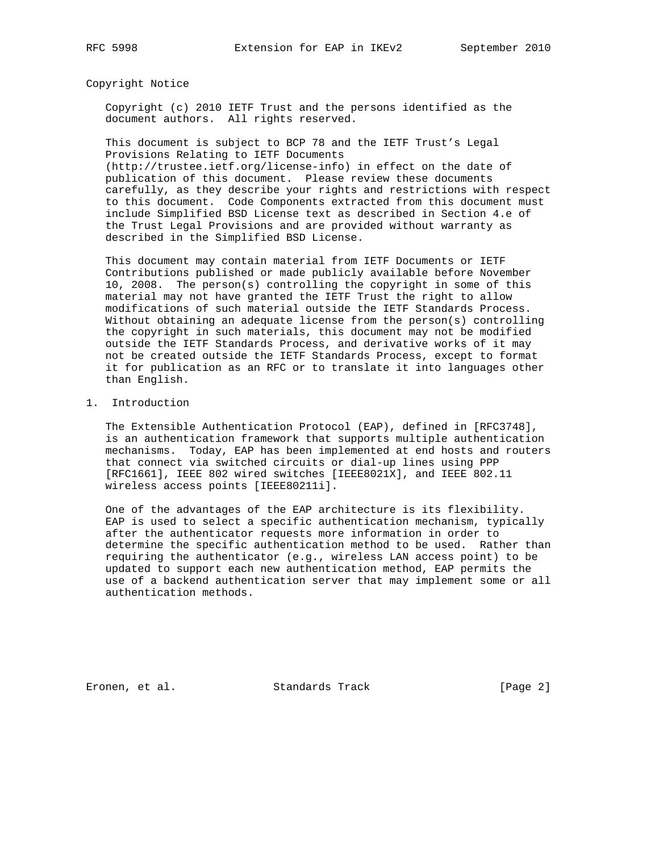Copyright Notice

 Copyright (c) 2010 IETF Trust and the persons identified as the document authors. All rights reserved.

 This document is subject to BCP 78 and the IETF Trust's Legal Provisions Relating to IETF Documents (http://trustee.ietf.org/license-info) in effect on the date of publication of this document. Please review these documents carefully, as they describe your rights and restrictions with respect to this document. Code Components extracted from this document must include Simplified BSD License text as described in Section 4.e of the Trust Legal Provisions and are provided without warranty as described in the Simplified BSD License.

 This document may contain material from IETF Documents or IETF Contributions published or made publicly available before November 10, 2008. The person(s) controlling the copyright in some of this material may not have granted the IETF Trust the right to allow modifications of such material outside the IETF Standards Process. Without obtaining an adequate license from the person(s) controlling the copyright in such materials, this document may not be modified outside the IETF Standards Process, and derivative works of it may not be created outside the IETF Standards Process, except to format it for publication as an RFC or to translate it into languages other than English.

#### 1. Introduction

 The Extensible Authentication Protocol (EAP), defined in [RFC3748], is an authentication framework that supports multiple authentication mechanisms. Today, EAP has been implemented at end hosts and routers that connect via switched circuits or dial-up lines using PPP [RFC1661], IEEE 802 wired switches [IEEE8021X], and IEEE 802.11 wireless access points [IEEE80211i].

 One of the advantages of the EAP architecture is its flexibility. EAP is used to select a specific authentication mechanism, typically after the authenticator requests more information in order to determine the specific authentication method to be used. Rather than requiring the authenticator (e.g., wireless LAN access point) to be updated to support each new authentication method, EAP permits the use of a backend authentication server that may implement some or all authentication methods.

Eronen, et al. Standards Track [Page 2]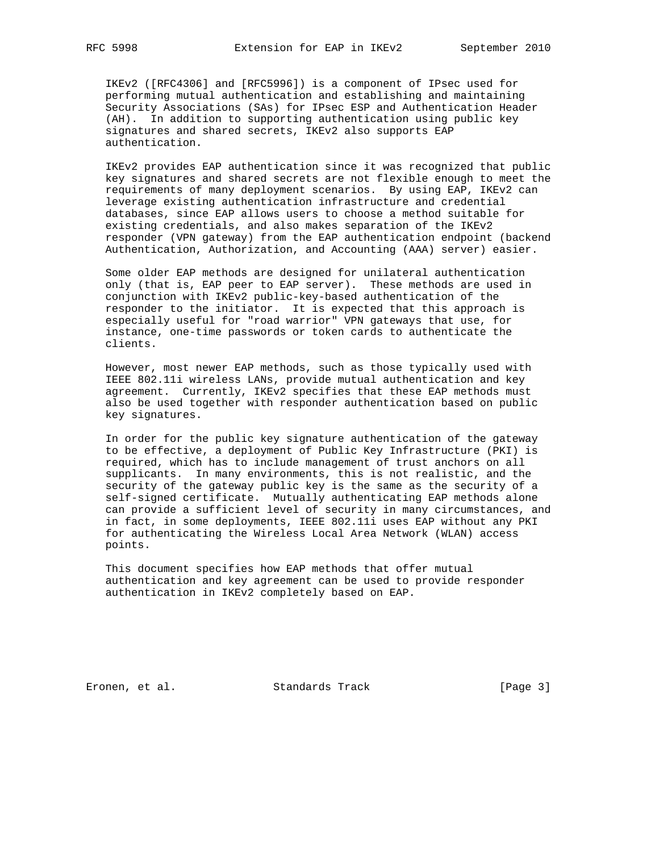IKEv2 ([RFC4306] and [RFC5996]) is a component of IPsec used for performing mutual authentication and establishing and maintaining Security Associations (SAs) for IPsec ESP and Authentication Header (AH). In addition to supporting authentication using public key signatures and shared secrets, IKEv2 also supports EAP authentication.

 IKEv2 provides EAP authentication since it was recognized that public key signatures and shared secrets are not flexible enough to meet the requirements of many deployment scenarios. By using EAP, IKEv2 can leverage existing authentication infrastructure and credential databases, since EAP allows users to choose a method suitable for existing credentials, and also makes separation of the IKEv2 responder (VPN gateway) from the EAP authentication endpoint (backend Authentication, Authorization, and Accounting (AAA) server) easier.

 Some older EAP methods are designed for unilateral authentication only (that is, EAP peer to EAP server). These methods are used in conjunction with IKEv2 public-key-based authentication of the responder to the initiator. It is expected that this approach is especially useful for "road warrior" VPN gateways that use, for instance, one-time passwords or token cards to authenticate the clients.

 However, most newer EAP methods, such as those typically used with IEEE 802.11i wireless LANs, provide mutual authentication and key agreement. Currently, IKEv2 specifies that these EAP methods must also be used together with responder authentication based on public key signatures.

 In order for the public key signature authentication of the gateway to be effective, a deployment of Public Key Infrastructure (PKI) is required, which has to include management of trust anchors on all supplicants. In many environments, this is not realistic, and the security of the gateway public key is the same as the security of a self-signed certificate. Mutually authenticating EAP methods alone can provide a sufficient level of security in many circumstances, and in fact, in some deployments, IEEE 802.11i uses EAP without any PKI for authenticating the Wireless Local Area Network (WLAN) access points.

 This document specifies how EAP methods that offer mutual authentication and key agreement can be used to provide responder authentication in IKEv2 completely based on EAP.

Eronen, et al. Standards Track [Page 3]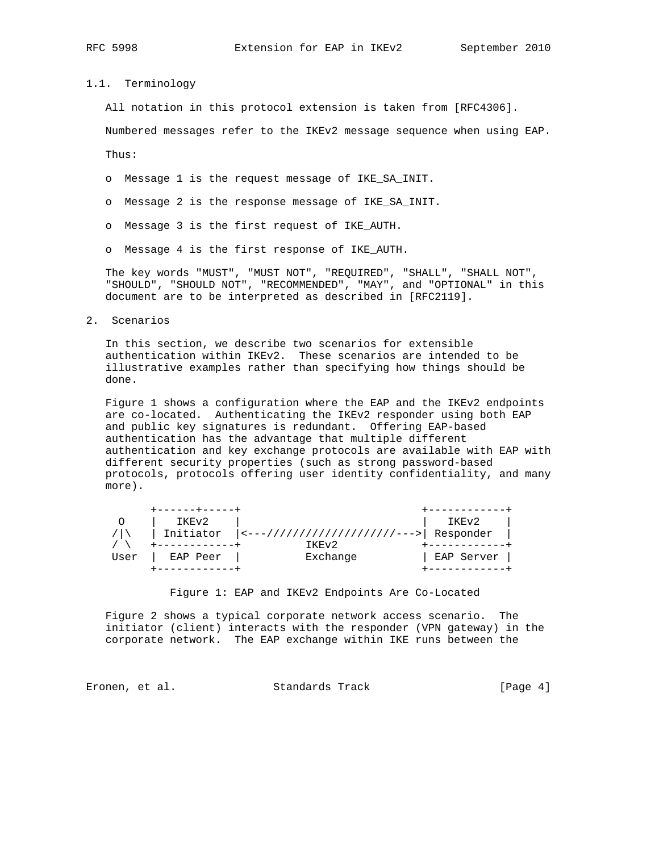### 1.1. Terminology

All notation in this protocol extension is taken from [RFC4306].

Numbered messages refer to the IKEv2 message sequence when using EAP.

Thus:

- o Message 1 is the request message of IKE\_SA\_INIT.
- o Message 2 is the response message of IKE\_SA\_INIT.
- o Message 3 is the first request of IKE\_AUTH.
- o Message 4 is the first response of IKE\_AUTH.

 The key words "MUST", "MUST NOT", "REQUIRED", "SHALL", "SHALL NOT", "SHOULD", "SHOULD NOT", "RECOMMENDED", "MAY", and "OPTIONAL" in this document are to be interpreted as described in [RFC2119].

2. Scenarios

 In this section, we describe two scenarios for extensible authentication within IKEv2. These scenarios are intended to be illustrative examples rather than specifying how things should be done.

 Figure 1 shows a configuration where the EAP and the IKEv2 endpoints are co-located. Authenticating the IKEv2 responder using both EAP and public key signatures is redundant. Offering EAP-based authentication has the advantage that multiple different authentication and key exchange protocols are available with EAP with different security properties (such as strong password-based protocols, protocols offering user identity confidentiality, and many more).

|      | +------+-----+ |                                                    |            |
|------|----------------|----------------------------------------------------|------------|
|      | IKEv2          |                                                    | IKEv2      |
|      |                | Initiator  <---////////////////////--->  Responder |            |
|      |                | TKEV <sub>2</sub>                                  |            |
| User | EAP Peer       | Exchange                                           | EAP Server |
|      |                |                                                    |            |

Figure 1: EAP and IKEv2 Endpoints Are Co-Located

 Figure 2 shows a typical corporate network access scenario. The initiator (client) interacts with the responder (VPN gateway) in the corporate network. The EAP exchange within IKE runs between the

Eronen, et al. Standards Track [Page 4]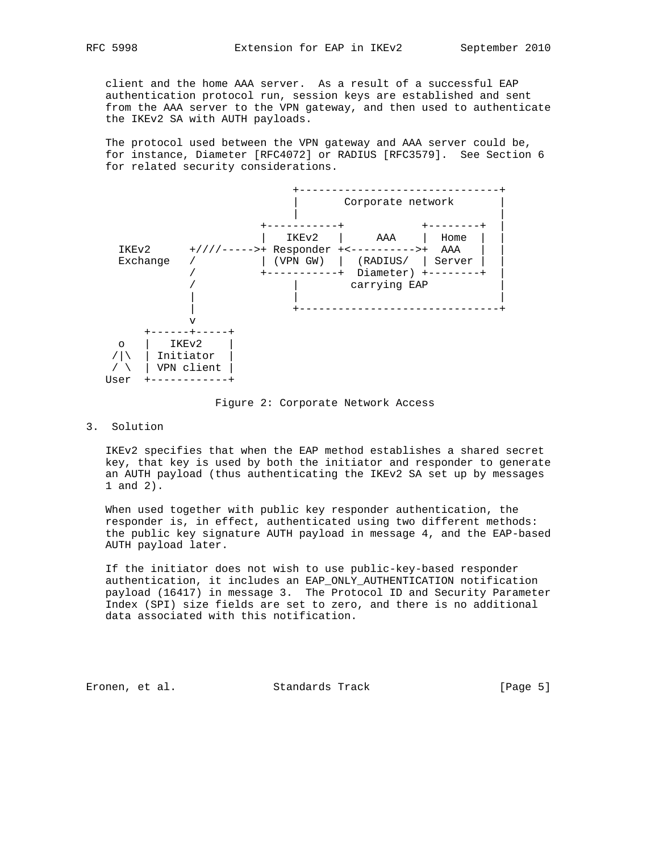client and the home AAA server. As a result of a successful EAP authentication protocol run, session keys are established and sent from the AAA server to the VPN gateway, and then used to authenticate the IKEv2 SA with AUTH payloads.

 The protocol used between the VPN gateway and AAA server could be, for instance, Diameter [RFC4072] or RADIUS [RFC3579]. See Section 6 for related security considerations.



#### Figure 2: Corporate Network Access

## 3. Solution

 IKEv2 specifies that when the EAP method establishes a shared secret key, that key is used by both the initiator and responder to generate an AUTH payload (thus authenticating the IKEv2 SA set up by messages 1 and 2).

 When used together with public key responder authentication, the responder is, in effect, authenticated using two different methods: the public key signature AUTH payload in message 4, and the EAP-based AUTH payload later.

 If the initiator does not wish to use public-key-based responder authentication, it includes an EAP\_ONLY\_AUTHENTICATION notification payload (16417) in message 3. The Protocol ID and Security Parameter Index (SPI) size fields are set to zero, and there is no additional data associated with this notification.

Eronen, et al. Standards Track [Page 5]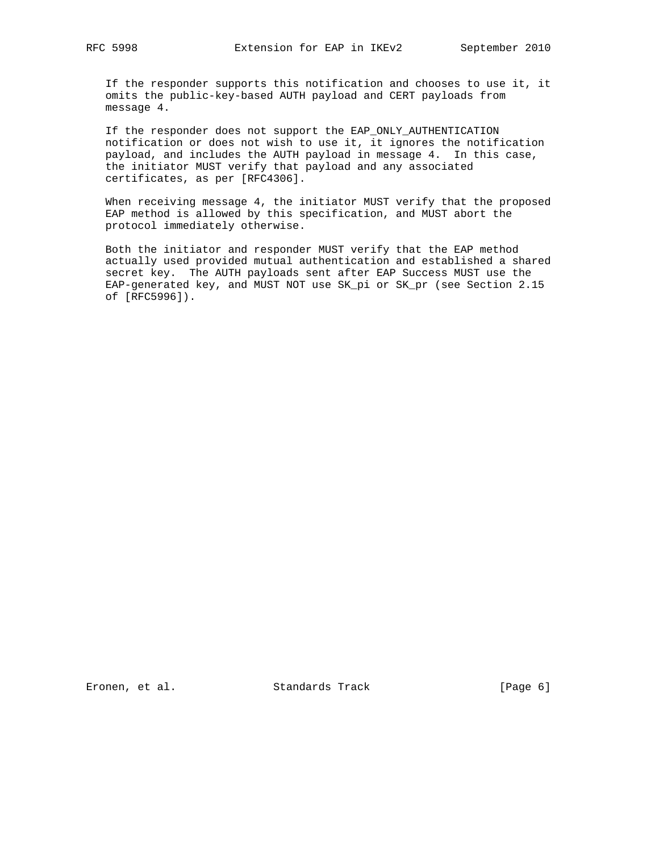If the responder supports this notification and chooses to use it, it omits the public-key-based AUTH payload and CERT payloads from message 4.

 If the responder does not support the EAP\_ONLY\_AUTHENTICATION notification or does not wish to use it, it ignores the notification payload, and includes the AUTH payload in message 4. In this case, the initiator MUST verify that payload and any associated certificates, as per [RFC4306].

 When receiving message 4, the initiator MUST verify that the proposed EAP method is allowed by this specification, and MUST abort the protocol immediately otherwise.

 Both the initiator and responder MUST verify that the EAP method actually used provided mutual authentication and established a shared secret key. The AUTH payloads sent after EAP Success MUST use the EAP-generated key, and MUST NOT use SK\_pi or SK\_pr (see Section 2.15 of [RFC5996]).

Eronen, et al. Standards Track [Page 6]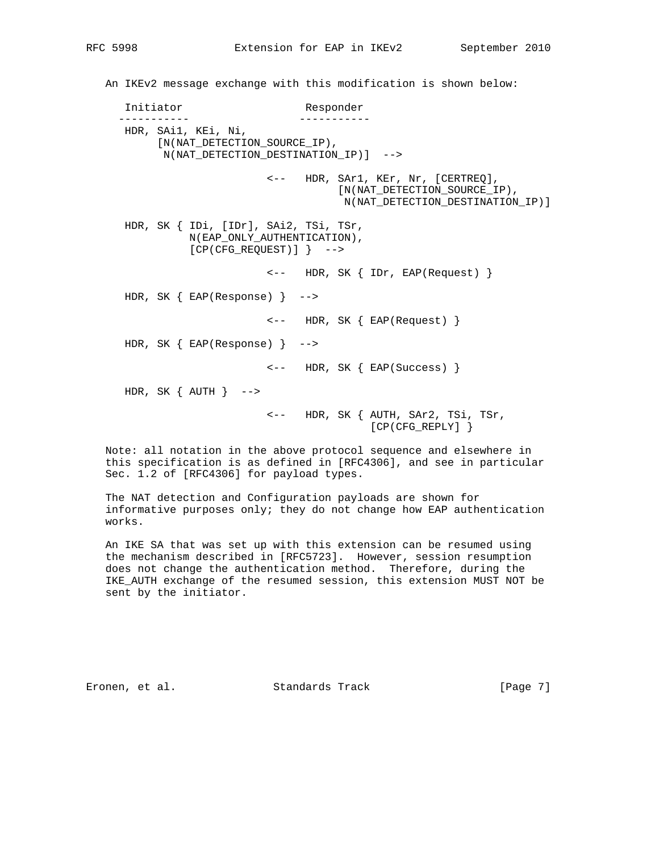An IKEv2 message exchange with this modification is shown below: Initiator Responder ----------- ----------- HDR, SAi1, KEi, Ni, [N(NAT\_DETECTION\_SOURCE\_IP), N(NAT\_DETECTION\_DESTINATION\_IP)] --> <-- HDR, SAr1, KEr, Nr, [CERTREQ], [N(NAT\_DETECTION\_SOURCE\_IP), N(NAT\_DETECTION\_DESTINATION\_IP)] HDR, SK { IDi, [IDr], SAi2, TSi, TSr, N(EAP\_ONLY\_AUTHENTICATION), [CP(CFG\_REQUEST)] } --> <-- HDR, SK { IDr, EAP(Request) } HDR, SK { EAP(Response) } --> <-- HDR, SK { EAP(Request) } HDR, SK { EAP(Response) } --> <-- HDR, SK { EAP(Success) } HDR, SK  $\{$  AUTH  $\}$  --> <-- HDR, SK { AUTH, SAr2, TSi, TSr,

 Note: all notation in the above protocol sequence and elsewhere in this specification is as defined in [RFC4306], and see in particular Sec. 1.2 of [RFC4306] for payload types.

[CP(CFG\_REPLY] }

 The NAT detection and Configuration payloads are shown for informative purposes only; they do not change how EAP authentication works.

 An IKE SA that was set up with this extension can be resumed using the mechanism described in [RFC5723]. However, session resumption does not change the authentication method. Therefore, during the IKE\_AUTH exchange of the resumed session, this extension MUST NOT be sent by the initiator.

Eronen, et al. Standards Track [Page 7]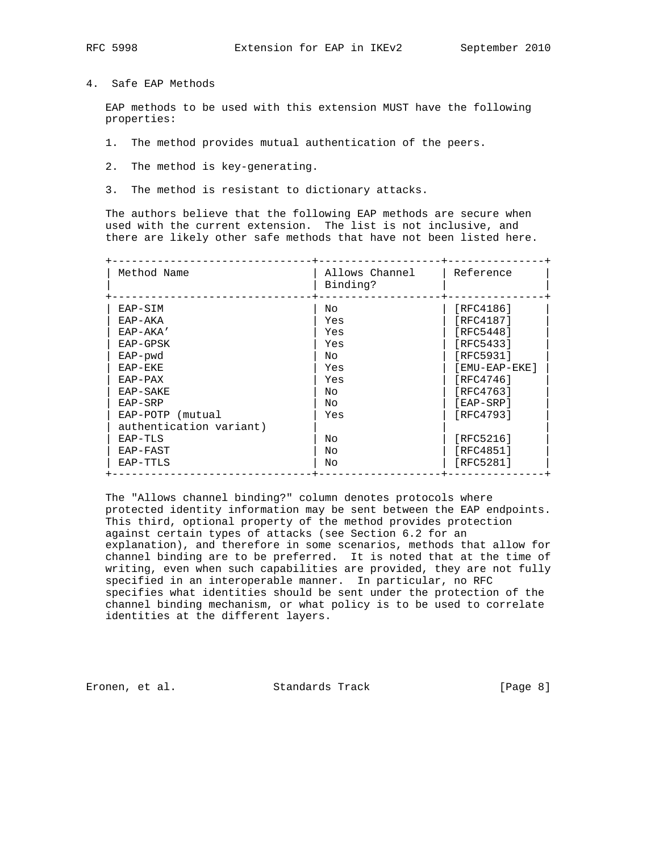4. Safe EAP Methods

 EAP methods to be used with this extension MUST have the following properties:

- 1. The method provides mutual authentication of the peers.
- 2. The method is key-generating.
- 3. The method is resistant to dictionary attacks.

 The authors believe that the following EAP methods are secure when used with the current extension. The list is not inclusive, and there are likely other safe methods that have not been listed here.

| Method Name             | Allows Channel<br>Binding? | Reference     |
|-------------------------|----------------------------|---------------|
| EAP-SIM                 | Nο                         | [RFC4186]     |
| EAP-AKA                 | Yes                        | [RFC4187]     |
| $EAP-AKA'$              | Yes                        | [RFC5448]     |
| EAP-GPSK                | Yes                        | [RFC5433]     |
| EAP-pwd                 | Nο                         | [RFC5931]     |
| EAP-EKE                 | Yes                        | [EMU-EAP-EKE] |
| $EAP-PAX$               | Yes                        | [RFC4746]     |
| EAP-SAKE                | Nο                         | [RFC4763]     |
| EAP-SRP                 | Nο                         | [EAP-SRP]     |
| EAP-POTP (mutual        | Yes                        | [RFC4793]     |
| authentication variant) |                            |               |
| EAP-TLS                 | Nο                         | [RFC5216]     |
| EAP-FAST                | Nο                         | [RFC4851]     |
| EAP-TTLS                | No                         | [RFC5281]     |

 The "Allows channel binding?" column denotes protocols where protected identity information may be sent between the EAP endpoints. This third, optional property of the method provides protection against certain types of attacks (see Section 6.2 for an explanation), and therefore in some scenarios, methods that allow for channel binding are to be preferred. It is noted that at the time of writing, even when such capabilities are provided, they are not fully specified in an interoperable manner. In particular, no RFC specifies what identities should be sent under the protection of the channel binding mechanism, or what policy is to be used to correlate identities at the different layers.

Eronen, et al. Standards Track [Page 8]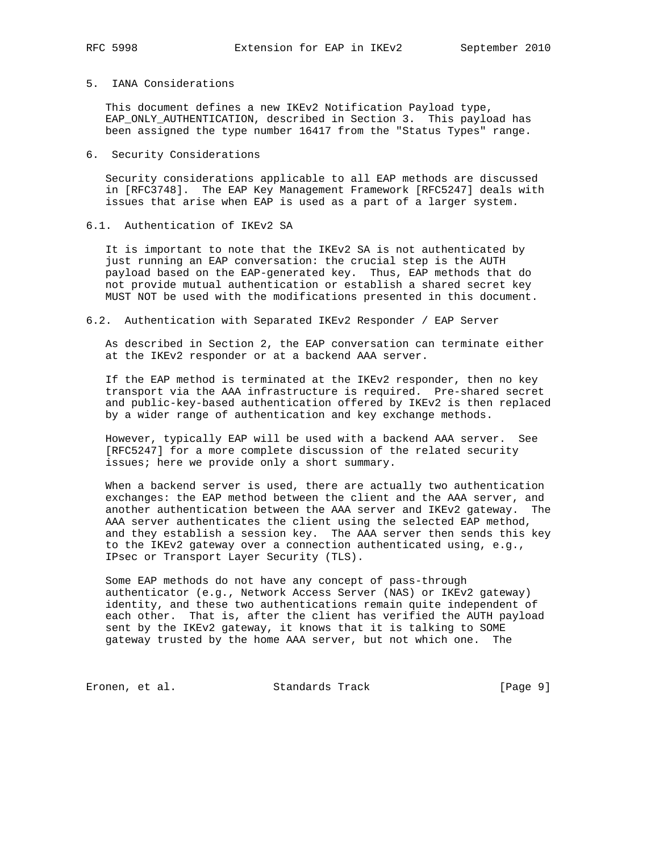# 5. IANA Considerations

 This document defines a new IKEv2 Notification Payload type, EAP\_ONLY\_AUTHENTICATION, described in Section 3. This payload has been assigned the type number 16417 from the "Status Types" range.

#### 6. Security Considerations

 Security considerations applicable to all EAP methods are discussed in [RFC3748]. The EAP Key Management Framework [RFC5247] deals with issues that arise when EAP is used as a part of a larger system.

# 6.1. Authentication of IKEv2 SA

 It is important to note that the IKEv2 SA is not authenticated by just running an EAP conversation: the crucial step is the AUTH payload based on the EAP-generated key. Thus, EAP methods that do not provide mutual authentication or establish a shared secret key MUST NOT be used with the modifications presented in this document.

#### 6.2. Authentication with Separated IKEv2 Responder / EAP Server

 As described in Section 2, the EAP conversation can terminate either at the IKEv2 responder or at a backend AAA server.

 If the EAP method is terminated at the IKEv2 responder, then no key transport via the AAA infrastructure is required. Pre-shared secret and public-key-based authentication offered by IKEv2 is then replaced by a wider range of authentication and key exchange methods.

 However, typically EAP will be used with a backend AAA server. See [RFC5247] for a more complete discussion of the related security issues; here we provide only a short summary.

 When a backend server is used, there are actually two authentication exchanges: the EAP method between the client and the AAA server, and another authentication between the AAA server and IKEv2 gateway. The AAA server authenticates the client using the selected EAP method, and they establish a session key. The AAA server then sends this key to the IKEv2 gateway over a connection authenticated using, e.g., IPsec or Transport Layer Security (TLS).

 Some EAP methods do not have any concept of pass-through authenticator (e.g., Network Access Server (NAS) or IKEv2 gateway) identity, and these two authentications remain quite independent of each other. That is, after the client has verified the AUTH payload sent by the IKEv2 gateway, it knows that it is talking to SOME gateway trusted by the home AAA server, but not which one. The

Eronen, et al. Standards Track [Page 9]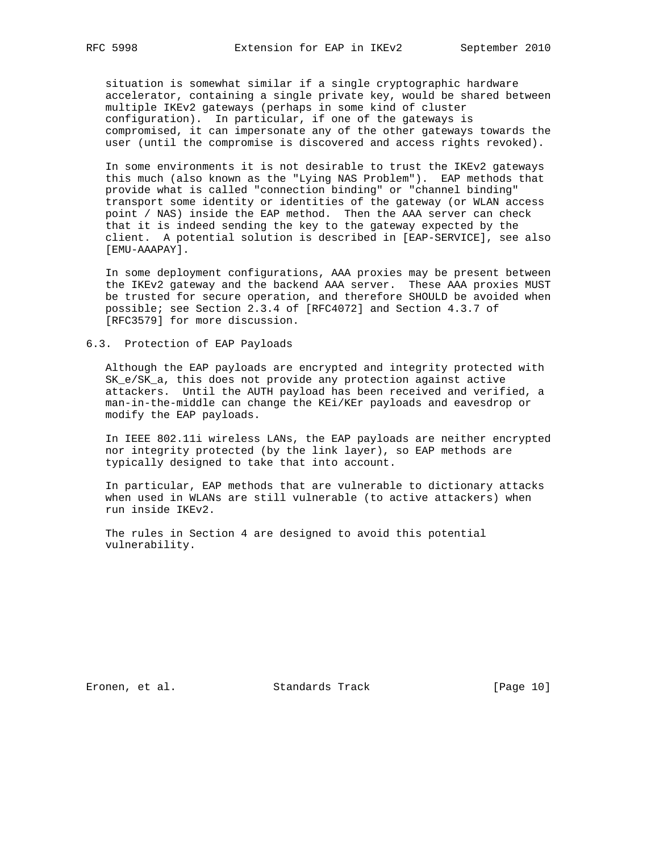situation is somewhat similar if a single cryptographic hardware accelerator, containing a single private key, would be shared between multiple IKEv2 gateways (perhaps in some kind of cluster configuration). In particular, if one of the gateways is compromised, it can impersonate any of the other gateways towards the user (until the compromise is discovered and access rights revoked).

 In some environments it is not desirable to trust the IKEv2 gateways this much (also known as the "Lying NAS Problem"). EAP methods that provide what is called "connection binding" or "channel binding" transport some identity or identities of the gateway (or WLAN access point / NAS) inside the EAP method. Then the AAA server can check that it is indeed sending the key to the gateway expected by the client. A potential solution is described in [EAP-SERVICE], see also [EMU-AAAPAY].

 In some deployment configurations, AAA proxies may be present between the IKEv2 gateway and the backend AAA server. These AAA proxies MUST be trusted for secure operation, and therefore SHOULD be avoided when possible; see Section 2.3.4 of [RFC4072] and Section 4.3.7 of [RFC3579] for more discussion.

6.3. Protection of EAP Payloads

 Although the EAP payloads are encrypted and integrity protected with SK\_e/SK\_a, this does not provide any protection against active attackers. Until the AUTH payload has been received and verified, a man-in-the-middle can change the KEi/KEr payloads and eavesdrop or modify the EAP payloads.

 In IEEE 802.11i wireless LANs, the EAP payloads are neither encrypted nor integrity protected (by the link layer), so EAP methods are typically designed to take that into account.

 In particular, EAP methods that are vulnerable to dictionary attacks when used in WLANs are still vulnerable (to active attackers) when run inside IKEv2.

 The rules in Section 4 are designed to avoid this potential vulnerability.

Eronen, et al. Standards Track [Page 10]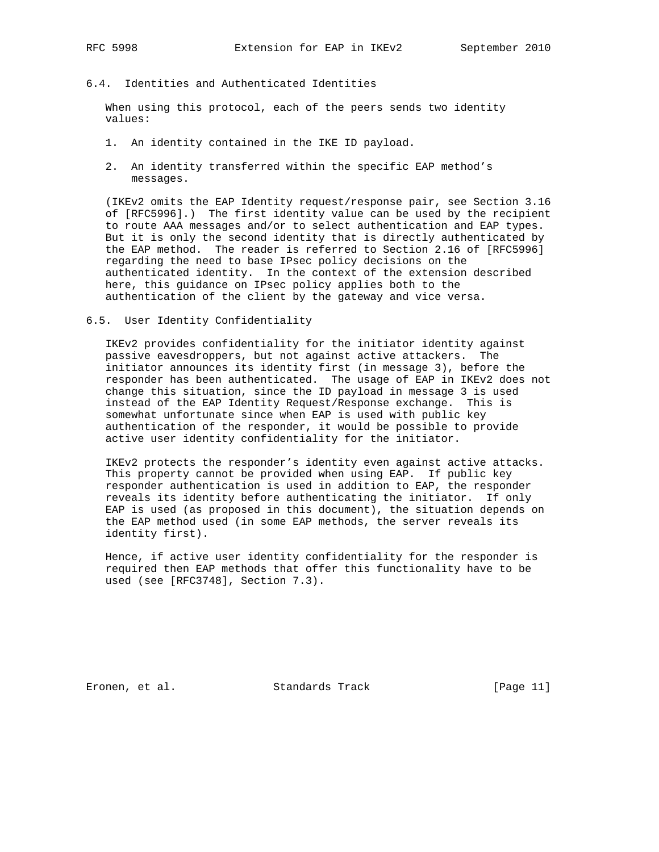# 6.4. Identities and Authenticated Identities

 When using this protocol, each of the peers sends two identity values:

- 1. An identity contained in the IKE ID payload.
- 2. An identity transferred within the specific EAP method's messages.

 (IKEv2 omits the EAP Identity request/response pair, see Section 3.16 of [RFC5996].) The first identity value can be used by the recipient to route AAA messages and/or to select authentication and EAP types. But it is only the second identity that is directly authenticated by the EAP method. The reader is referred to Section 2.16 of [RFC5996] regarding the need to base IPsec policy decisions on the authenticated identity. In the context of the extension described here, this guidance on IPsec policy applies both to the authentication of the client by the gateway and vice versa.

6.5. User Identity Confidentiality

 IKEv2 provides confidentiality for the initiator identity against passive eavesdroppers, but not against active attackers. The initiator announces its identity first (in message 3), before the responder has been authenticated. The usage of EAP in IKEv2 does not change this situation, since the ID payload in message 3 is used instead of the EAP Identity Request/Response exchange. This is somewhat unfortunate since when EAP is used with public key authentication of the responder, it would be possible to provide active user identity confidentiality for the initiator.

 IKEv2 protects the responder's identity even against active attacks. This property cannot be provided when using EAP. If public key responder authentication is used in addition to EAP, the responder reveals its identity before authenticating the initiator. If only EAP is used (as proposed in this document), the situation depends on the EAP method used (in some EAP methods, the server reveals its identity first).

 Hence, if active user identity confidentiality for the responder is required then EAP methods that offer this functionality have to be used (see [RFC3748], Section 7.3).

Eronen, et al. Standards Track [Page 11]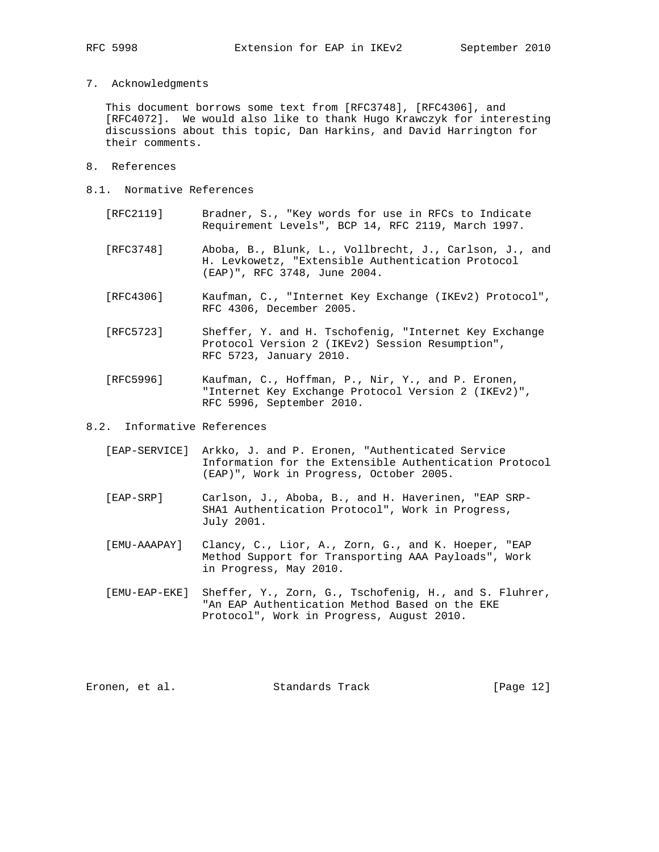7. Acknowledgments

 This document borrows some text from [RFC3748], [RFC4306], and [RFC4072]. We would also like to thank Hugo Krawczyk for interesting discussions about this topic, Dan Harkins, and David Harrington for their comments.

- 8. References
- 8.1. Normative References
	- [RFC2119] Bradner, S., "Key words for use in RFCs to Indicate Requirement Levels", BCP 14, RFC 2119, March 1997.
	- [RFC3748] Aboba, B., Blunk, L., Vollbrecht, J., Carlson, J., and H. Levkowetz, "Extensible Authentication Protocol (EAP)", RFC 3748, June 2004.
	- [RFC4306] Kaufman, C., "Internet Key Exchange (IKEv2) Protocol", RFC 4306, December 2005.
	- [RFC5723] Sheffer, Y. and H. Tschofenig, "Internet Key Exchange Protocol Version 2 (IKEv2) Session Resumption", RFC 5723, January 2010.
	- [RFC5996] Kaufman, C., Hoffman, P., Nir, Y., and P. Eronen, "Internet Key Exchange Protocol Version 2 (IKEv2)", RFC 5996, September 2010.
- 8.2. Informative References
	- [EAP-SERVICE] Arkko, J. and P. Eronen, "Authenticated Service Information for the Extensible Authentication Protocol (EAP)", Work in Progress, October 2005.
	- [EAP-SRP] Carlson, J., Aboba, B., and H. Haverinen, "EAP SRP- SHA1 Authentication Protocol", Work in Progress, July 2001.
	- [EMU-AAAPAY] Clancy, C., Lior, A., Zorn, G., and K. Hoeper, "EAP Method Support for Transporting AAA Payloads", Work in Progress, May 2010.
	- [EMU-EAP-EKE] Sheffer, Y., Zorn, G., Tschofenig, H., and S. Fluhrer, "An EAP Authentication Method Based on the EKE Protocol", Work in Progress, August 2010.

Eronen, et al. Standards Track [Page 12]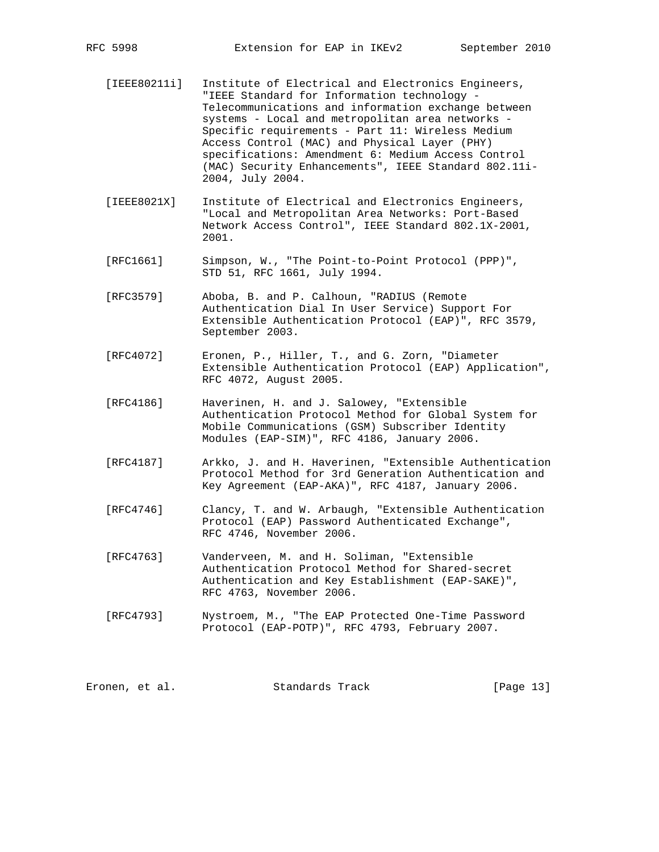- [IEEE80211i] Institute of Electrical and Electronics Engineers, "IEEE Standard for Information technology - Telecommunications and information exchange between systems - Local and metropolitan area networks - Specific requirements - Part 11: Wireless Medium Access Control (MAC) and Physical Layer (PHY) specifications: Amendment 6: Medium Access Control (MAC) Security Enhancements", IEEE Standard 802.11i- 2004, July 2004.
- [IEEE8021X] Institute of Electrical and Electronics Engineers, "Local and Metropolitan Area Networks: Port-Based Network Access Control", IEEE Standard 802.1X-2001, 2001.
- [RFC1661] Simpson, W., "The Point-to-Point Protocol (PPP)", STD 51, RFC 1661, July 1994.
- [RFC3579] Aboba, B. and P. Calhoun, "RADIUS (Remote Authentication Dial In User Service) Support For Extensible Authentication Protocol (EAP)", RFC 3579, September 2003.
- [RFC4072] Eronen, P., Hiller, T., and G. Zorn, "Diameter Extensible Authentication Protocol (EAP) Application", RFC 4072, August 2005.
- [RFC4186] Haverinen, H. and J. Salowey, "Extensible Authentication Protocol Method for Global System for Mobile Communications (GSM) Subscriber Identity Modules (EAP-SIM)", RFC 4186, January 2006.
- [RFC4187] Arkko, J. and H. Haverinen, "Extensible Authentication Protocol Method for 3rd Generation Authentication and Key Agreement (EAP-AKA)", RFC 4187, January 2006.
- [RFC4746] Clancy, T. and W. Arbaugh, "Extensible Authentication Protocol (EAP) Password Authenticated Exchange", RFC 4746, November 2006.
- [RFC4763] Vanderveen, M. and H. Soliman, "Extensible Authentication Protocol Method for Shared-secret Authentication and Key Establishment (EAP-SAKE)", RFC 4763, November 2006.
- [RFC4793] Nystroem, M., "The EAP Protected One-Time Password Protocol (EAP-POTP)", RFC 4793, February 2007.

Eronen, et al. Standards Track [Page 13]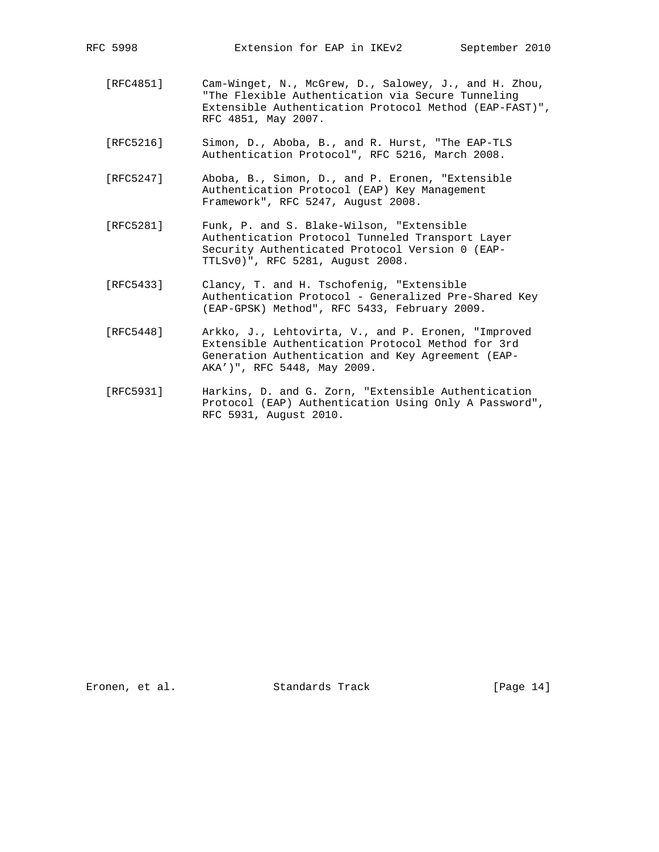- [RFC4851] Cam-Winget, N., McGrew, D., Salowey, J., and H. Zhou, "The Flexible Authentication via Secure Tunneling Extensible Authentication Protocol Method (EAP-FAST)", RFC 4851, May 2007.
- [RFC5216] Simon, D., Aboba, B., and R. Hurst, "The EAP-TLS Authentication Protocol", RFC 5216, March 2008.
- [RFC5247] Aboba, B., Simon, D., and P. Eronen, "Extensible Authentication Protocol (EAP) Key Management Framework", RFC 5247, August 2008.
- [RFC5281] Funk, P. and S. Blake-Wilson, "Extensible Authentication Protocol Tunneled Transport Layer Security Authenticated Protocol Version 0 (EAP- TTLSv0)", RFC 5281, August 2008.
- [RFC5433] Clancy, T. and H. Tschofenig, "Extensible Authentication Protocol - Generalized Pre-Shared Key (EAP-GPSK) Method", RFC 5433, February 2009.
- [RFC5448] Arkko, J., Lehtovirta, V., and P. Eronen, "Improved Extensible Authentication Protocol Method for 3rd Generation Authentication and Key Agreement (EAP- AKA')", RFC 5448, May 2009.
- [RFC5931] Harkins, D. and G. Zorn, "Extensible Authentication Protocol (EAP) Authentication Using Only A Password", RFC 5931, August 2010.

Eronen, et al. Standards Track [Page 14]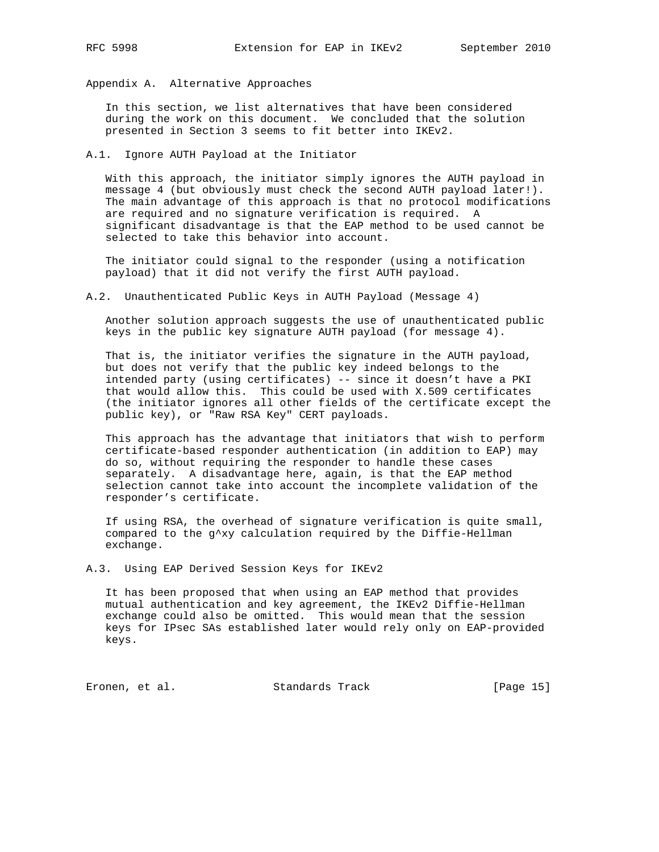Appendix A. Alternative Approaches

 In this section, we list alternatives that have been considered during the work on this document. We concluded that the solution presented in Section 3 seems to fit better into IKEv2.

## A.1. Ignore AUTH Payload at the Initiator

 With this approach, the initiator simply ignores the AUTH payload in message 4 (but obviously must check the second AUTH payload later!). The main advantage of this approach is that no protocol modifications are required and no signature verification is required. A significant disadvantage is that the EAP method to be used cannot be selected to take this behavior into account.

 The initiator could signal to the responder (using a notification payload) that it did not verify the first AUTH payload.

A.2. Unauthenticated Public Keys in AUTH Payload (Message 4)

 Another solution approach suggests the use of unauthenticated public keys in the public key signature AUTH payload (for message 4).

 That is, the initiator verifies the signature in the AUTH payload, but does not verify that the public key indeed belongs to the intended party (using certificates) -- since it doesn't have a PKI that would allow this. This could be used with X.509 certificates (the initiator ignores all other fields of the certificate except the public key), or "Raw RSA Key" CERT payloads.

 This approach has the advantage that initiators that wish to perform certificate-based responder authentication (in addition to EAP) may do so, without requiring the responder to handle these cases separately. A disadvantage here, again, is that the EAP method selection cannot take into account the incomplete validation of the responder's certificate.

 If using RSA, the overhead of signature verification is quite small, compared to the g^xy calculation required by the Diffie-Hellman exchange.

A.3. Using EAP Derived Session Keys for IKEv2

 It has been proposed that when using an EAP method that provides mutual authentication and key agreement, the IKEv2 Diffie-Hellman exchange could also be omitted. This would mean that the session keys for IPsec SAs established later would rely only on EAP-provided keys.

Eronen, et al. Standards Track [Page 15]